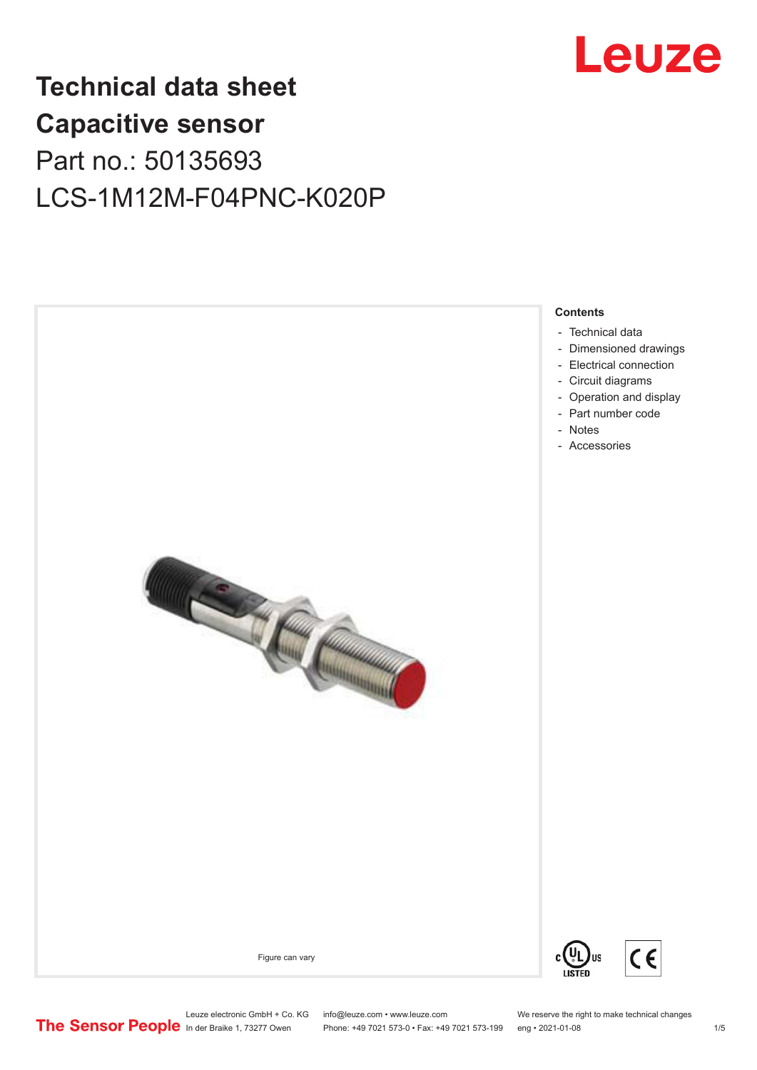

## **Technical data sheet Capacitive sensor** Part no.: 50135693 LCS-1M12M-F04PNC-K020P



Leuze electronic GmbH + Co. KG info@leuze.com • www.leuze.com We reserve the right to make technical changes<br>
The Sensor People in der Braike 1, 73277 Owen Phone: +49 7021 573-0 • Fax: +49 7021 573-199 eng • 2021-01-08

Phone: +49 7021 573-0 • Fax: +49 7021 573-199 eng • 2021-01-08 1 /5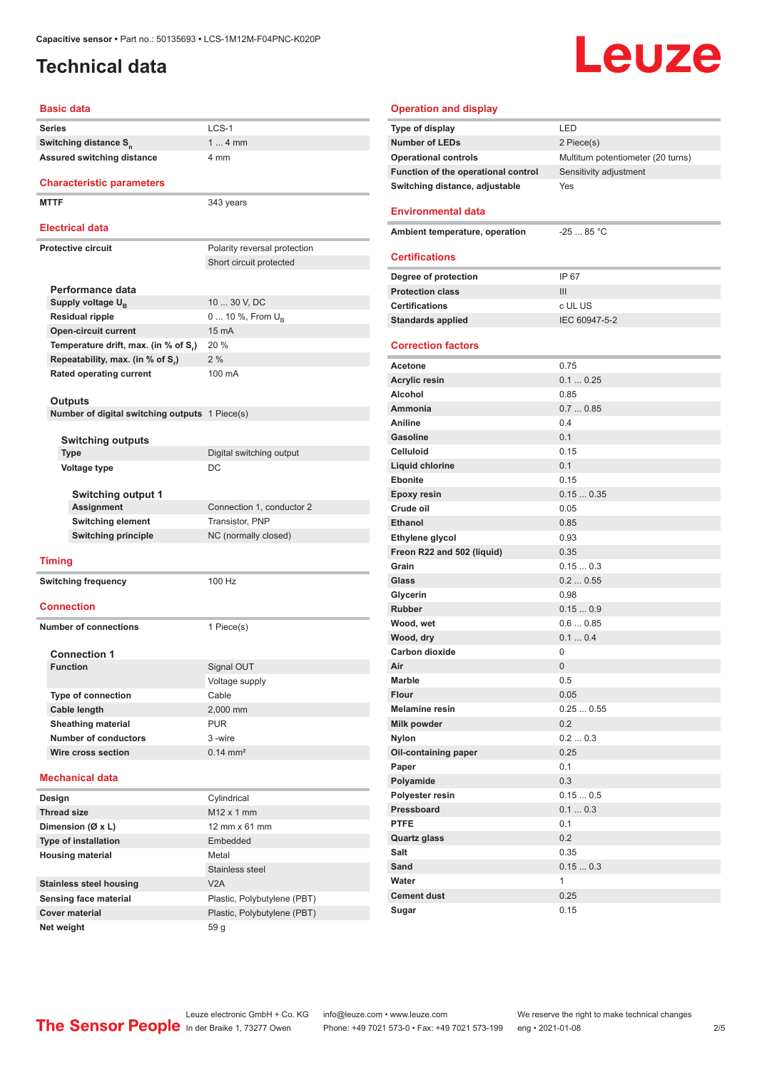### <span id="page-1-0"></span>**Technical data**

**Series** LCS-1

**Basic data**

# Leuze

| LED                                |
|------------------------------------|
| 2 Piece(s)                         |
| Multiturn potentiometer (20 turns) |
| Sensitivity adjustment             |
| Yes                                |
|                                    |
| $-25$ 85 °C                        |
|                                    |
| IP 67                              |
| III                                |
| c UL US                            |
| IEC 60947-5-2                      |
|                                    |
| 0.75                               |
| 0.10.25                            |
| 0.85                               |
| 0.70.85                            |
| 0.4                                |
| 0 <sub>1</sub>                     |
| 0.15                               |
| 0.1                                |
| 0.15                               |
| 0.150.35                           |
| 0.05                               |
| 0.85                               |
| 0.93                               |
| 0.35                               |
| 0.150.3                            |
| 0.20.55<br>0.98                    |
| 0.150.9                            |
| 0.60.85                            |
| 0.10.4                             |
| 0                                  |
| 0                                  |
| 0.5                                |
| 0.05                               |
| 0.250.55                           |
| 0.2                                |
| 0.20.3                             |
| 0.25                               |
| 0.1                                |
| 0.3                                |
| 0.150.5                            |
| 0.10.3                             |
| 0.1                                |
| 0.2                                |
| 0.35                               |
| 0.150.3                            |
| 1                                  |
| 0.25                               |
| 0.15                               |
|                                    |

| Switching distance S <sub>n</sub>                 |  | 1  4 mm                      |  |  |
|---------------------------------------------------|--|------------------------------|--|--|
| <b>Assured switching distance</b>                 |  | 4 mm                         |  |  |
| <b>Characteristic parameters</b>                  |  |                              |  |  |
| <b>MTTF</b>                                       |  | 343 years                    |  |  |
| <b>Electrical data</b>                            |  |                              |  |  |
| <b>Protective circuit</b>                         |  | Polarity reversal protection |  |  |
|                                                   |  | Short circuit protected      |  |  |
|                                                   |  |                              |  |  |
| Performance data                                  |  |                              |  |  |
| Supply voltage U <sub>R</sub>                     |  | 10  30 V, DC                 |  |  |
| <b>Residual ripple</b>                            |  | 0  10 %, From U <sub>p</sub> |  |  |
| <b>Open-circuit current</b>                       |  | 15 mA                        |  |  |
| Temperature drift, max. (in % of S <sub>r</sub> ) |  | 20 %                         |  |  |
| Repeatability, max. (in % of S.)                  |  | 2%                           |  |  |
| <b>Rated operating current</b>                    |  | 100 mA                       |  |  |
|                                                   |  |                              |  |  |
| Outputs                                           |  |                              |  |  |
| Number of digital switching outputs 1 Piece(s)    |  |                              |  |  |
| <b>Switching outputs</b>                          |  |                              |  |  |
| <b>Type</b>                                       |  | Digital switching output     |  |  |
| Voltage type                                      |  | DC                           |  |  |
|                                                   |  |                              |  |  |
| <b>Switching output 1</b>                         |  |                              |  |  |
| Assignment                                        |  | Connection 1, conductor 2    |  |  |
| <b>Switching element</b>                          |  | Transistor, PNP              |  |  |
| <b>Switching principle</b>                        |  | NC (normally closed)         |  |  |
|                                                   |  |                              |  |  |
| <b>Timing</b>                                     |  | 100 Hz                       |  |  |
| <b>Switching frequency</b>                        |  |                              |  |  |
| Connection                                        |  |                              |  |  |
| <b>Number of connections</b>                      |  | 1 Piece(s)                   |  |  |
| <b>Connection 1</b>                               |  |                              |  |  |
| <b>Function</b>                                   |  | Signal OUT                   |  |  |
|                                                   |  | Voltage supply               |  |  |
| <b>Type of connection</b>                         |  | Cable                        |  |  |
| Cable length                                      |  | 2,000 mm                     |  |  |
| <b>Sheathing material</b>                         |  | <b>PUR</b>                   |  |  |
| <b>Number of conductors</b>                       |  | 3-wire                       |  |  |
| Wire cross section                                |  | $0.14$ mm <sup>2</sup>       |  |  |
| <b>Mechanical data</b>                            |  |                              |  |  |
| Design                                            |  | Cylindrical                  |  |  |
| <b>Thread size</b>                                |  | M12 x 1 mm                   |  |  |
| Dimension (Ø x L)                                 |  | 12 mm x 61 mm                |  |  |
| <b>Type of installation</b>                       |  | Embedded                     |  |  |
| <b>Housing material</b>                           |  | Metal                        |  |  |
|                                                   |  | Stainless steel              |  |  |
| <b>Stainless steel housing</b>                    |  | V2A                          |  |  |
| <b>Sensing face material</b>                      |  | Plastic, Polybutylene (PBT)  |  |  |
| <b>Cover material</b>                             |  | Plastic, Polybutylene (PBT)  |  |  |
|                                                   |  |                              |  |  |

**Net weight** 59 g

ln der Braike 1, 73277 Owen Phone: +49 7021 573-0 • Fax: +49 7021 573-199 eng • 2021-01-08 2/5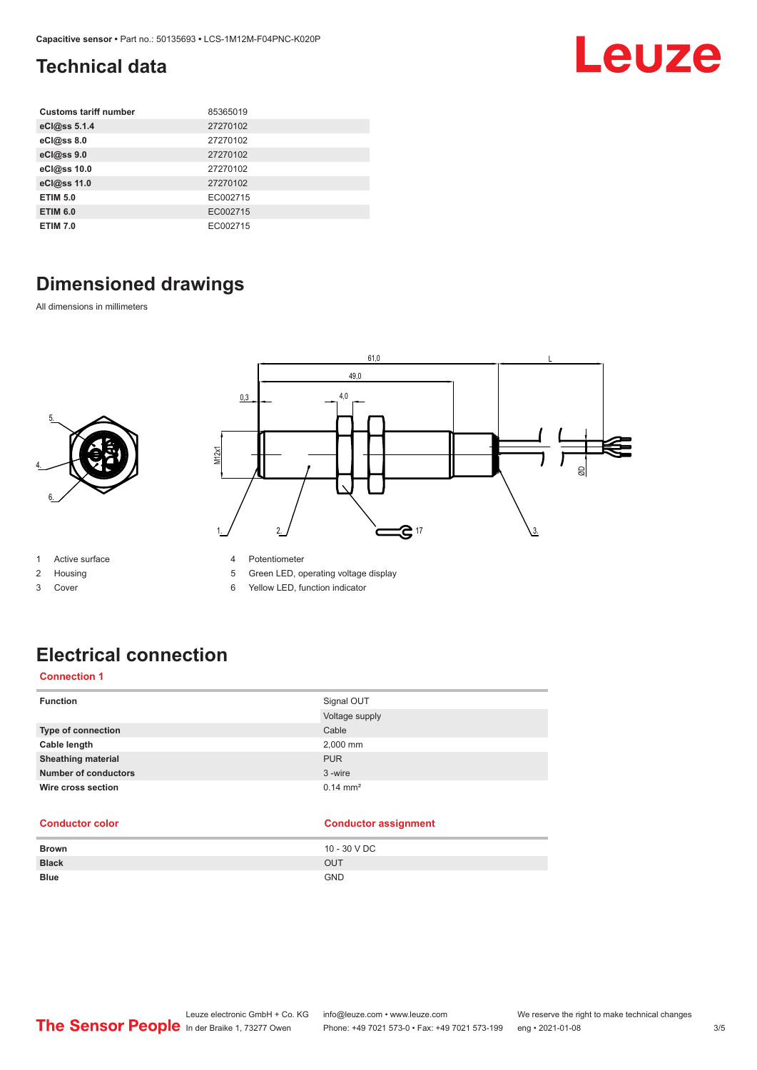### <span id="page-2-0"></span>**Technical data**

| <b>Customs tariff number</b> | 85365019 |
|------------------------------|----------|
| eCl@ss 5.1.4                 | 27270102 |
| eCl@ss 8.0                   | 27270102 |
| eCl@ss 9.0                   | 27270102 |
| eCl@ss 10.0                  | 27270102 |
| eCl@ss 11.0                  | 27270102 |
| <b>ETIM 5.0</b>              | EC002715 |
| <b>ETIM 6.0</b>              | EC002715 |
| <b>ETIM 7.0</b>              | EC002715 |

### **Dimensioned drawings**

All dimensions in millimeters





1 Active surface

2 Housing

3 Cover

- 4 Potentiometer
- 5 Green LED, operating voltage display
- 6 Yellow LED, function indicator

### **Electrical connection**

### **Connection 1**

| <b>Function</b>             | Signal OUT<br>Voltage supply |
|-----------------------------|------------------------------|
| Type of connection          | Cable                        |
| Cable length                | 2,000 mm                     |
| <b>Sheathing material</b>   | <b>PUR</b>                   |
| <b>Number of conductors</b> | 3-wire                       |
| Wire cross section          | $0.14 \, \text{mm}^2$        |

### **Conductor color Conductor assignment**

| <b>Brown</b> | 10 - 30 V DC |
|--------------|--------------|
| <b>Black</b> | <b>OUT</b>   |
| <b>Blue</b>  | <b>GND</b>   |

Leuze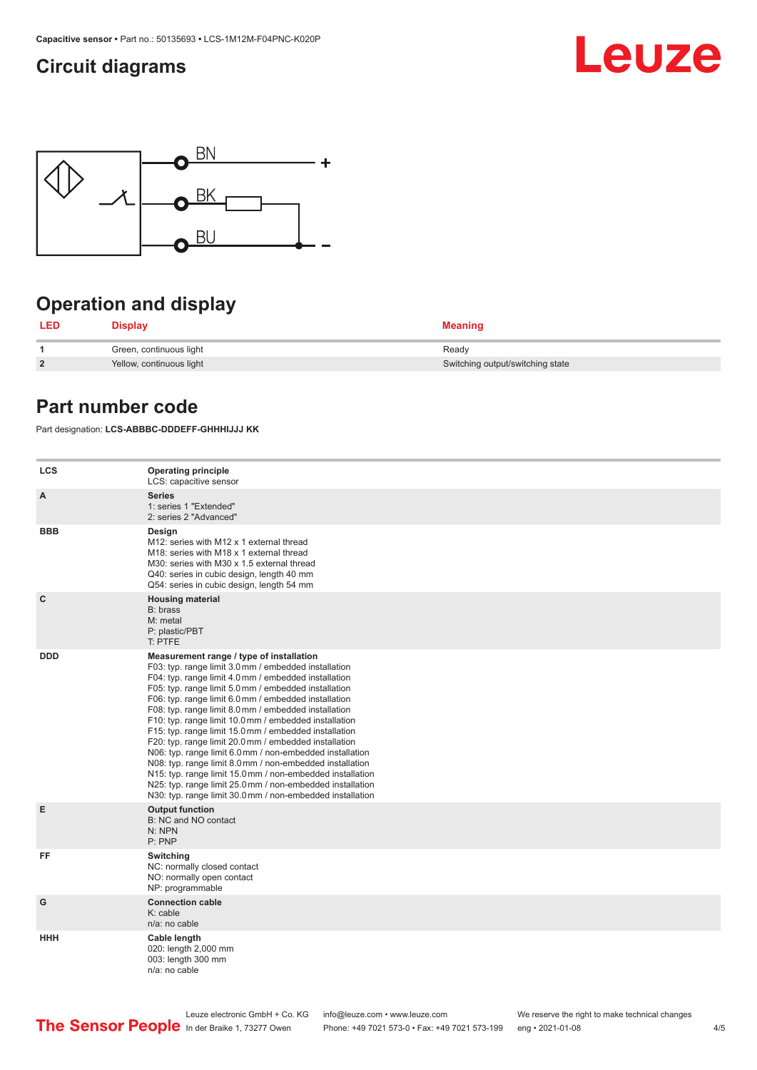### <span id="page-3-0"></span>**Circuit diagrams**





### **Operation and display**

| LED            | <b>Display</b>           | <b>Meaning</b>                   |
|----------------|--------------------------|----------------------------------|
|                | Green, continuous light  | Ready                            |
| $\overline{2}$ | Yellow, continuous light | Switching output/switching state |

### **Part number code**

Part designation: **LCS-ABBBC-DDDEFF-GHHHIJJJ KK**

| <b>LCS</b>   | <b>Operating principle</b><br>LCS: capacitive sensor                                                                                                                                                                                                                                                                                                                                                                                                                                                                                                                                                                                                                                                                                                                                                                       |
|--------------|----------------------------------------------------------------------------------------------------------------------------------------------------------------------------------------------------------------------------------------------------------------------------------------------------------------------------------------------------------------------------------------------------------------------------------------------------------------------------------------------------------------------------------------------------------------------------------------------------------------------------------------------------------------------------------------------------------------------------------------------------------------------------------------------------------------------------|
| A            | <b>Series</b><br>1: series 1 "Extended"<br>2: series 2 "Advanced"                                                                                                                                                                                                                                                                                                                                                                                                                                                                                                                                                                                                                                                                                                                                                          |
| <b>BBB</b>   | Design<br>M12: series with M12 x 1 external thread<br>M18: series with M18 x 1 external thread<br>M30: series with M30 x 1.5 external thread<br>Q40: series in cubic design, length 40 mm<br>Q54: series in cubic design, length 54 mm                                                                                                                                                                                                                                                                                                                                                                                                                                                                                                                                                                                     |
| $\mathbf{C}$ | <b>Housing material</b><br>B: brass<br>M: metal<br>P: plastic/PBT<br>T: PTFE                                                                                                                                                                                                                                                                                                                                                                                                                                                                                                                                                                                                                                                                                                                                               |
| <b>DDD</b>   | Measurement range / type of installation<br>F03: typ. range limit 3.0 mm / embedded installation<br>F04: typ. range limit 4.0 mm / embedded installation<br>F05: typ. range limit 5.0 mm / embedded installation<br>F06: typ. range limit 6.0 mm / embedded installation<br>F08: typ. range limit 8.0 mm / embedded installation<br>F10: typ. range limit 10.0 mm / embedded installation<br>F15: typ. range limit 15.0 mm / embedded installation<br>F20: typ. range limit 20.0 mm / embedded installation<br>N06: typ. range limit 6.0 mm / non-embedded installation<br>N08: typ. range limit 8.0 mm / non-embedded installation<br>N15: typ. range limit 15.0 mm / non-embedded installation<br>N25: typ. range limit 25.0 mm / non-embedded installation<br>N30: typ. range limit 30.0 mm / non-embedded installation |
| Е            | <b>Output function</b><br>B: NC and NO contact<br>N: NPN<br>P: PNP                                                                                                                                                                                                                                                                                                                                                                                                                                                                                                                                                                                                                                                                                                                                                         |
| FF           | Switching<br>NC: normally closed contact<br>NO: normally open contact<br>NP: programmable                                                                                                                                                                                                                                                                                                                                                                                                                                                                                                                                                                                                                                                                                                                                  |
| G            | <b>Connection cable</b><br>$K:$ cable<br>n/a: no cable                                                                                                                                                                                                                                                                                                                                                                                                                                                                                                                                                                                                                                                                                                                                                                     |
| <b>HHH</b>   | Cable length<br>020: length 2,000 mm<br>003: length 300 mm<br>n/a: no cable                                                                                                                                                                                                                                                                                                                                                                                                                                                                                                                                                                                                                                                                                                                                                |